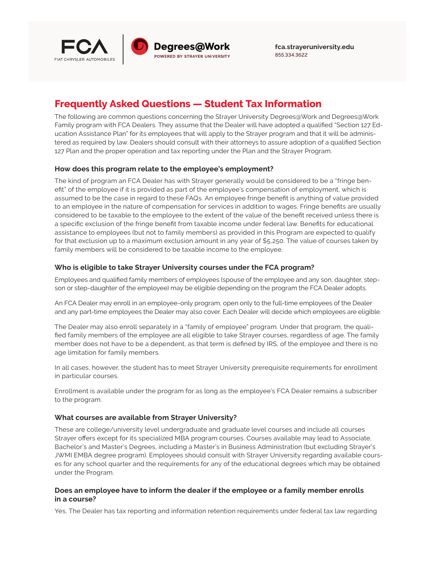

**<fca.strayeruniversity.edu>** 855.334.3622

# **Frequently Asked Questions — Student Tax Information**

The following are common questions concerning the Strayer University Degrees@Work and Degrees@Work Family program with FCA Dealers. They assume that the Dealer will have adopted a qualified "Section 127 Education Assistance Plan" for its employees that will apply to the Strayer program and that it will be administered as required by law. Dealers should consult with their attorneys to assure adoption of a qualified Section 127 Plan and the proper operation and tax reporting under the Plan and the Strayer Program.

# **How does this program relate to the employee's employment?**

The kind of program an FCA Dealer has with Strayer generally would be considered to be a "fringe benefit" of the employee if it is provided as part of the employee's compensation of employment, which is assumed to be the case in regard to these FAQs. An employee fringe benefit is anything of value provided to an employee in the nature of compensation for services in addition to wages. Fringe benefits are usually considered to be taxable to the employee to the extent of the value of the benefit received unless there is a specific exclusion of the fringe benefit from taxable income under federal law. Benefits for educational assistance to employees (but not to family members) as provided in this Program are expected to qualify for that exclusion up to a maximum exclusion amount in any year of \$5,250. The value of courses taken by family members will be considered to be taxable income to the employee.

# **Who is eligible to take Strayer University courses under the FCA program?**

Employees and qualified family members of employees (spouse of the employee and any son, daughter, stepson or step-daughter of the employee) may be eligible depending on the program the FCA Dealer adopts.

An FCA Dealer may enroll in an employee-only program, open only to the full-time employees of the Dealer and any part-time employees the Dealer may also cover. Each Dealer will decide which employees are eligible.

The Dealer may also enroll separately in a "family of employee" program. Under that program, the qualified family members of the employee are all eligible to take Strayer courses, regardless of age. The family member does not have to be a dependent, as that term is defined by IRS, of the employee and there is no age limitation for family members.

In all cases, however, the student has to meet Strayer University prerequisite requirements for enrollment in particular courses.

Enrollment is available under the program for as long as the employee's FCA Dealer remains a subscriber to the program.

#### **What courses are available from Strayer University?**

These are college/university level undergraduate and graduate level courses and include all courses Strayer offers except for its specialized MBA program courses. Courses available may lead to Associate, Bachelor's and Master's Degrees, including a Master's in Business Administration (but excluding Strayer's JWMI EMBA degree program). Employees should consult with Strayer University regarding available courses for any school quarter and the requirements for any of the educational degrees which may be obtained under the Program.

# **Does an employee have to inform the dealer if the employee or a family member enrolls in a course?**

Yes. The Dealer has tax reporting and information retention requirements under federal tax law regarding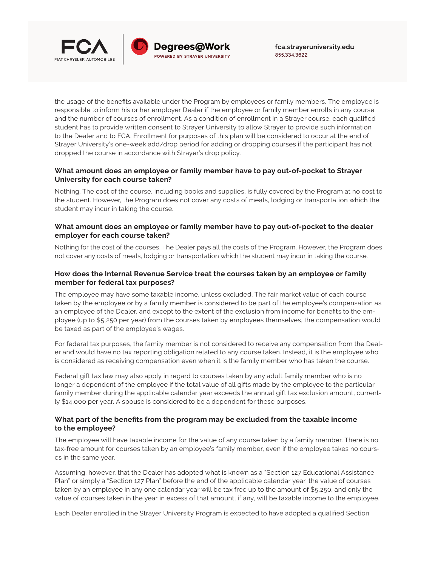

the usage of the benefits available under the Program by employees or family members. The employee is responsible to inform his or her employer Dealer if the employee or family member enrolls in any course and the number of courses of enrollment. As a condition of enrollment in a Strayer course, each qualified student has to provide written consent to Strayer University to allow Strayer to provide such information to the Dealer and to FCA. Enrollment for purposes of this plan will be considered to occur at the end of Strayer University's one-week add/drop period for adding or dropping courses if the participant has not dropped the course in accordance with Strayer's drop policy.

# **What amount does an employee or family member have to pay out-of-pocket to Strayer University for each course taken?**

Nothing. The cost of the course, including books and supplies, is fully covered by the Program at no cost to the student. However, the Program does not cover any costs of meals, lodging or transportation which the student may incur in taking the course.

#### **What amount does an employee or family member have to pay out-of-pocket to the dealer employer for each course taken?**

Nothing for the cost of the courses. The Dealer pays all the costs of the Program. However, the Program does not cover any costs of meals, lodging or transportation which the student may incur in taking the course.

# **How does the Internal Revenue Service treat the courses taken by an employee or family member for federal tax purposes?**

The employee may have some taxable income, unless excluded. The fair market value of each course taken by the employee or by a family member is considered to be part of the employee's compensation as an employee of the Dealer, and except to the extent of the exclusion from income for benefits to the employee (up to \$5,250 per year) from the courses taken by employees themselves, the compensation would be taxed as part of the employee's wages.

For federal tax purposes, the family member is not considered to receive any compensation from the Dealer and would have no tax reporting obligation related to any course taken. Instead, it is the employee who is considered as receiving compensation even when it is the family member who has taken the course.

Federal gift tax law may also apply in regard to courses taken by any adult family member who is no longer a dependent of the employee if the total value of all gifts made by the employee to the particular family member during the applicable calendar year exceeds the annual gift tax exclusion amount, currently \$14,000 per year. A spouse is considered to be a dependent for these purposes.

# **What part of the benefits from the program may be excluded from the taxable income to the employee?**

The employee will have taxable income for the value of any course taken by a family member. There is no tax-free amount for courses taken by an employee's family member, even if the employee takes no courses in the same year.

Assuming, however, that the Dealer has adopted what is known as a "Section 127 Educational Assistance Plan" or simply a "Section 127 Plan" before the end of the applicable calendar year, the value of courses taken by an employee in any one calendar year will be tax free up to the amount of \$5,250, and only the value of courses taken in the year in excess of that amount, if any, will be taxable income to the employee.

Each Dealer enrolled in the Strayer University Program is expected to have adopted a qualified Section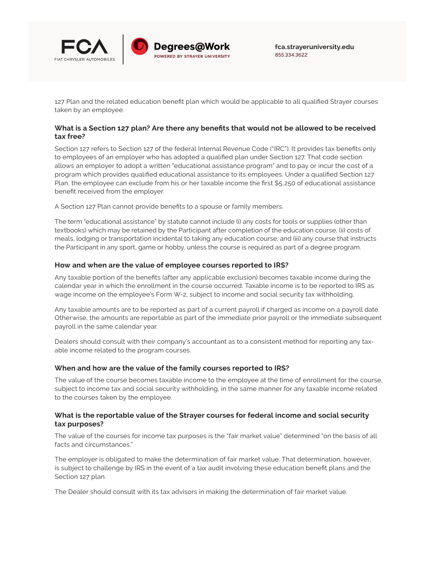

127 Plan and the related education benefit plan which would be applicable to all qualified Strayer courses taken by an employee.

# **What is a Section 127 plan? Are there any benefits that would not be allowed to be received tax free?**

Section 127 refers to Section 127 of the federal Internal Revenue Code ("IRC"). It provides tax benefits only to employees of an employer who has adopted a qualified plan under Section 127. That code section allows an employer to adopt a written "educational assistance program" and to pay or incur the cost of a program which provides qualified educational assistance to its employees. Under a qualified Section 127 Plan, the employee can exclude from his or her taxable income the first \$5,250 of educational assistance benefit received from the employer.

A Section 127 Plan cannot provide benefits to a spouse or family members.

The term "educational assistance" by statute cannot include (i) any costs for tools or supplies (other than textbooks) which may be retained by the Participant after completion of the education course, (ii) costs of meals, lodging or transportation incidental to taking any education course, and (iii) any course that instructs the Participant in any sport, game or hobby, unless the course is required as part of a degree program.

# **How and when are the value of employee courses reported to IRS?**

Any taxable portion of the benefits (after any applicable exclusion) becomes taxable income during the calendar year in which the enrollment in the course occurred. Taxable income is to be reported to IRS as wage income on the employee's Form W-2, subject to income and social security tax withholding.

Any taxable amounts are to be reported as part of a current payroll if charged as income on a payroll date. Otherwise, the amounts are reportable as part of the immediate prior payroll or the immediate subsequent payroll in the same calendar year.

Dealers should consult with their company's accountant as to a consistent method for reporting any taxable income related to the program courses.

#### **When and how are the value of the family courses reported to IRS?**

The value of the course becomes taxable income to the employee at the time of enrollment for the course, subject to income tax and social security withholding, in the same manner for any taxable income related to the courses taken by the employee.

#### **What is the reportable value of the Strayer courses for federal income and social security tax purposes?**

The value of the courses for income tax purposes is the "fair market value" determined "on the basis of all facts and circumstances."

The employer is obligated to make the determination of fair market value. That determination, however, is subject to challenge by IRS in the event of a tax audit involving these education benefit plans and the Section 127 plan.

The Dealer should consult with its tax advisors in making the determination of fair market value.